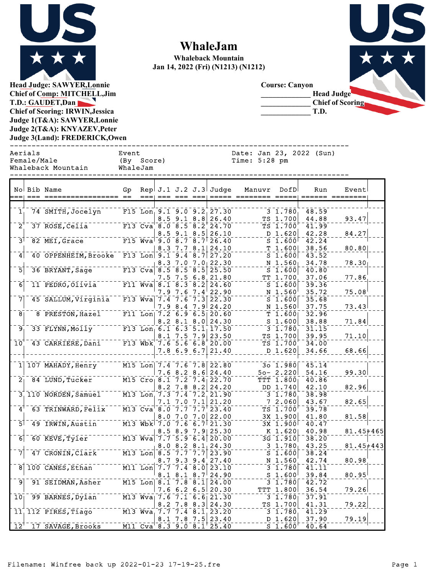

## **WhaleJam**

**Whaleback Mountain Jan 14, 2022 (Fri) (N1213) (N1212)**

**Course: Canyon**

**\_\_\_\_\_\_\_\_\_\_\_\_\_ T.D.**



**Head Judge: SAWYER,Lonnie Chief of Comp: MITCHELL,Jim T.D.: GAUDET,Dan Chief of Scoring: IRWIN,Jessica Judge 1(T&A): SAWYER,Lonnie Judge 2(T&A): KNYAZEV,Peter Judge 3(Land): FREDERICK,Owen**  ------------------------------------------------------------------------------

Aerials Event Date: Jan 23, 2022 (Sun) Female/Male (By Score) Time: 5:28 pm Whaleback Mountain WhaleJam ------------------------------------------------------------------------------ No Bib Name Gp Rep J.1 J.2 J.3 Judge Manuvr DofD Run Event === === ================= == === === === === ===== ======== ===== ====== ========  $1, 74$  SMITH, Jocelyn F15 Lon 9.1 9.0 9.2 27.30 3 1.780  $1.780, 48.59$ 8.5 9.1 8.8 26.40 TS 1.700 44.88 93.47  $2^{\frac{1}{3}}$  ROSE, Celia F13 Cva 8.0 8.5 8.2 24.70 TS 1.700 41.99 8.5 9.1 8.5 26.10 D 1.620 42.28 84.27  $3^{\text{-}}$  82 MEI, Grace F115 Wva 9.0 8.7 8.7 26.40 S 1.600 42.24 8.3 7.7 8.1 24.10 T 1.600 38.56 80.80  $4$  40 OPPENHEIM, Brooke F13 Lon 9.1 9.4 8.7 27.20 S 1.600 43.52 8.3 7.0 7.0 22.30  $N$  1.560 34.78 78.30 5 36 BRYANT, Sage F13 Cva 8.5 8.5 8.5 25.50 S 1.600 40.80 7.5 7.5 6.8 21.80 TT 1.700 37.06 77.86 6 11 PEDRO, Olivia F11 Wva 8.1 8.3 8.2 24.60 S 1.600 39.36  $7.9$   $7.6$   $7.4$   $22.90$   $35.72$   $37.4$   $7.6$   $7.3$   $3$   $22.30$   $30$   $35.68$   $35.68$ 7 45 SALLUM, Virginia F13 Wva 7.4 7.6 7.3 22.30  $\sim$  5 1.600 35.68  $7.9$   $8.4$   $7.9$   $24.20$   $\frac{N}{T}$   $1.560$   $37.75$   $7.75$   $7.2$   $6.9$   $6.9$   $6.5$   $20.60$   $\frac{N}{T}$   $1.600$   $32.96$   $\frac{23.43}{1}$ 8 **PRESTON, Hazel F11** Lon 7.2 6.9 6.5 20.60 T 1.600 T 1.600 33 **FLYNN, Molly** T 1.3 Lon 6.1 6.3 5.1 17.50  $8.2 \t3.1 \t8.0 \t24.30$  S 1.600 38.88 71.84  $\frac{9}{33}$  FLYNN, Molly F13 Lon 6.1 6.3 5.1 17.50  $\rightarrow$  31.780 31.15  $8.1$  7.5 7.9 23.50<br>7.6 5.6 6.8 20.00 TS 1.700 39.95 71.10  $10^{1}$  43 CARRIERE, Dani F13 Wbk 7.6 5.6 6.8 20.00 7.8 6.9 6.7 21.40 D 1.620 34.66 68.66  $1 \overline{)107}$  MAHADY, Henry M15 Lon  $7.4 - 7.6 - 7.8$  22.80  $30 - 30 - 1.980$   $45.14$  $7.6$   $8.2$   $8.6$   $24.40$   $50 - 2.220$   $54.16$   $99.30$  $2 - 84$  LUND, Tucker M15 Cro  $8.1 - 7.2 - 7.4$  22.70 TTT 1.800 40.86  $8.2$   $7.8$   $8.2$   $24.20$  DD  $1.740$   $42.10$   $82.96$ 3 110 NORDEN, Samuel M13 Lon 7.3 7.4 7.2 21.90 ------- 3 1.780 38.98<br>4 63 TRINWARD, Felix --- M13 Cva 8.0 7.7 7.7 23.40 ------ TS 1.700 39.78  $7.1$   $7.0$   $7.1$   $21.20$   $7.7$   $7.7$   $2.060$   $39.78$   $7.7$   $7.7$   $7.7$   $23.40$   $7.7$   $7.7$   $7.7$   $7.7$   $7.7$   $7.7$   $7.7$   $7.7$   $7.7$   $7.7$   $7.7$   $7.7$   $7.7$   $7.7$   $7.7$   $7.7$   $7.7$   $7.7$   $7.7$   $7.7$   $7.7$   $7.7$   $7.7$   $7.$ 4 63 TRINWARD,Felix M13 Cva 8.0 7.7 7.7 23.40 TS 1.700 39.78 8.0 7.0 7.0 22.00 3X 1.900 41.80 81.58  $5^{\text{-}}$  49 IRWIN, Austin  $\frac{1}{100}$  M13 Wbk 7.0 7.6 6.7 21.30  $\frac{1}{21.30}$   $\frac{1}{300}$   $\frac{1}{40.47}$  $\frac{8.5}{7.7} \cdot \frac{8.9}{5.9} - \frac{7.9}{6.4} \cdot \frac{25.30}{20.00} - - - - - - \frac{K}{3G} \cdot \frac{1.620}{1.910} - \frac{40.98}{38.20} - - - \frac{81.45 + 465}{1.910}$ 6 60 KEVE, Tyler M13 Wva 7.7 5.9 6.4 20.00  $\frac{8}{8}. \frac{0}{5} - \frac{8}{7}. \frac{2}{7} - \frac{8}{7}. \frac{1}{7} \Big| \frac{24}{23.90} - \frac{30}{7} - \frac{1}{7}. \frac{780}{600} \Big| - \frac{43.25}{38.24} - \frac{81.45 + 443}{7} \Big|$ 7 47 CRONIN, Clark M13 Lon 8.5 7.7 7.7 23.90 S 1.600 38.24  $8.7$   $9.3$   $9.4$   $27.40$   $\frac{N}{3}$   $1.560$   $42.74$   $80.98$ <br> $7.7$   $7.4$   $8.0$   $23.10$   $3$   $1.780$   $41.11$ 8 100 CANES, Ethan M11 Lon 7.7 7.4 8.0 23.10  $\frac{8.1}{8.1} - \frac{8.1}{7.8} - \frac{8.7}{8.1} \cdot \frac{24.90}{24.00} - \cdots - \frac{5}{3} - \frac{1.600}{1.780} \cdot \frac{39.84}{42.72} - \cdots - \frac{80.95}{1}$ 9 91 SEIDMAN,ASher M15 Lon 8.1 7.8 8.1 24.00 ------- 3 1.780 42.72<br>7.6 6.2 6.5 20.30 ---- TTT 1.800 36.54<br>7.6 7.1 6.6 21.30 ------- 3 1.780 37.91  $7.6$  6.2 6.5 20.30 TTT 1.800 36.54 7.6 7.1 6.6  $\overline{21.30}$  7  $\overline{21.30}$   $7.6$   $\overline{79.21}$ 10 99 BARNES, Dylan M13 Wva 7.6 7.1 6.6 21.30  $\frac{8.2}{7.7}$   $\frac{7.8}{7.4}$   $\frac{8.3}{8.1}$   $\frac{24.30}{23.20}$   $\cdots$   $\frac{TS}{3}$   $\frac{1.700}{1.780}$   $\frac{41.31}{41.29}$   $\cdots$   $\frac{79.22}{1.790}$  $11, 112$  PIRES, Tiago  $M_3$  Wva  $7.7 - 7.4 - 8.1 + 23.20$   $3.20 - 7.7 - 3.1.780 + 41.29$ 8.1 7.8 7.5 23.40 D 1.620 37.90 79.19  $12^{\frac{1}{7}}$  3AVAGE, Brooks M11 Cva 8.3 9.0 8.1 25.40 S 1.600  $\frac{1}{5}$  1.600  $\frac{1}{7}$  40.64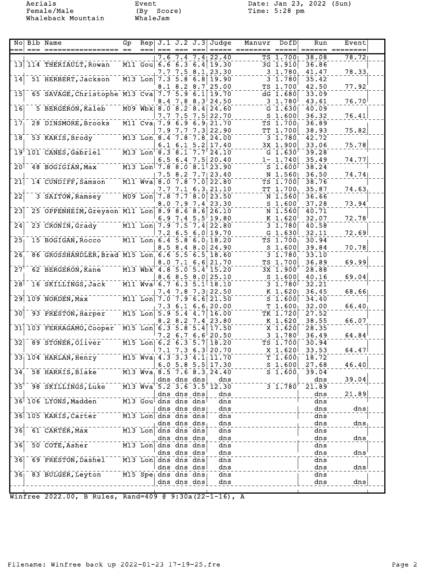Female/Male (By Score) Time: 5:28 pm Aerials Event<br>Female/Male (By Score)<br>Whaleback Mountain WhaleJam

Aerials Event Date: Jan 23, 2022 (Sun)

| Nol                        | Bib Name<br>== ======                          | Gp | Rep                                   |     | $J.1$ $J.2$ $J.3$                                                 |                         | Judge                      | Manuvr | DofD                                            | Run            | Event |
|----------------------------|------------------------------------------------|----|---------------------------------------|-----|-------------------------------------------------------------------|-------------------------|----------------------------|--------|-------------------------------------------------|----------------|-------|
|                            |                                                |    |                                       | 7.6 |                                                                   | 7.4⊧                    | 22.40                      |        | TS 1.700                                        | 38.08          | 78.72 |
|                            | 13 114 THERIAULT, Rowan                        |    |                                       |     |                                                                   |                         | M11 Gou 6.6 6.3 6.4 19.30  |        | $\overline{{}3\mathsf{G}}$ $\overline{{}1.910}$ | 36.86          |       |
|                            |                                                |    |                                       | 7.7 |                                                                   |                         | 7.5 8.1 23.30              |        | 3 1.780                                         | 41.47          | 78.33 |
| 14                         | 51 HERBERT, Jackson                            |    | $M13$ Lon                             |     | 7.35.8<br>8.2                                                     | 6.8                     | 19.90<br>25.00             |        | 3 1.780<br>TS 1.700                             | 35.42<br>42.50 | 77.92 |
| $\overline{15}$            | 65 SAVAGE, Christophe M13 Cva                  |    |                                       | 8.1 | 7.75.9                                                            | 8.7<br>6.1              | 19.70                      |        | $dG$ 1.680                                      | 33.09          |       |
|                            |                                                |    |                                       | 8.4 | 7.8                                                               | $8.3^{\circ}$           | 24.50                      |        | 3 1.780                                         | 43.61          | 76.70 |
| 16                         | 5 BERGERON, Kaleb                              |    |                                       |     | $M09$ Wbk $8.0$ $8.2$ $8.4$                                       |                         | 24.60                      |        | G $1.630$                                       | 40.09          |       |
|                            |                                                |    |                                       | 7.7 | 7.5                                                               | 7.5                     | 22.70                      |        | $S$ 1.600                                       | 36.32          | 76.41 |
| 17 <sub>1</sub>            | 28 DINSMORE, Brooks                            |    |                                       |     | $\overline{M11}$ Cva <sub>1</sub> 7.9 6.9 6.9                     |                         | 21.70                      |        | TS 1.700                                        | 36.89          |       |
|                            |                                                |    |                                       | 7.9 | 7.7                                                               | 7.3                     | 22.90                      |        | TT 1.700                                        | 38.93          | 75.82 |
| 18                         | 53 KARIS, Brody M13 Lon 8.4 7.8 7.8            |    |                                       |     | $6.1\;6.1$                                                        |                         | 24.00<br>17.40             |        | $3 - 1.780$<br>3X 1.900                         | 42.72<br>33.06 | 75.78 |
|                            | 19 101 CANES, Gabriel ---- M13 Lon 8.3 8.1 7.7 |    |                                       |     |                                                                   | 5.2                     | 24.10                      |        | $G_{1.630}$                                     | 39.28          |       |
|                            |                                                |    |                                       |     | $6.5$ $6.4$ $7.5$                                                 |                         | 20.40                      |        | $1 - 1.740$                                     | 35.49          | 74.77 |
| 20 <sup>1</sup>            | 48 BOGIGIAN, Max                               |    |                                       |     | $\frac{1}{2}$ M13 Lon <sup> </sup> 7.8 8.0 8.1                    |                         | 23.90                      |        | $S$ 1.600                                       | 38.24          |       |
|                            |                                                |    |                                       |     | 7.5 8.2 7.71                                                      |                         | 23.40                      |        | N 1.560                                         | 36.50          | 74.74 |
| $\overline{21}$            | 14 CUNDIFF, Samson M11 Wva 8.0 7.8 7.0         |    |                                       |     |                                                                   |                         | 22.80                      |        | TS 1.700                                        | 38.76          |       |
|                            |                                                |    |                                       |     |                                                                   |                         | 7.7 7.1 6.3 21.10          |        | TT 1.700                                        | 35.87          | 74.63 |
| $\overline{2}\overline{2}$ | 3 SAITOW, Ramsey M09 Lon                       |    |                                       | 8.0 | 7.8 7.7 8.0<br>7.97.4                                             |                         | 23.50<br>23.30             |        | $N_{1.560}$<br>S <sub>1.600</sub>               | 36.66<br>37.28 | 73.94 |
| $\overline{2}3$            | 25 OPPENHEIM, Greyson M11 Lon 8.9 8.6 8.6      |    |                                       |     |                                                                   |                         | 26.10                      |        | N 1.560                                         | 40.71          |       |
|                            |                                                |    |                                       |     | 6.97.4                                                            | $5.5^{\dagger}$         | 19.80                      |        | K 1.620                                         | 32.07          | 72.78 |
| $\overline{2}\overline{4}$ | 23 CRONIN, Grady M11 Lon 7.9 7.5               |    |                                       |     |                                                                   | 7.4                     | 22.80                      |        | 3 1.780                                         | 40.58          |       |
|                            |                                                |    |                                       |     | 7.2 6.5                                                           |                         | $6.0$   19.70              |        | $G$ 1.630                                       | 32.11          | 72.69 |
| 25 <sub>1</sub>            | 15 BOGIGAN, Rocco M11 Lon 6.4 5.8 6.0          |    |                                       |     |                                                                   |                         | 18.20                      |        | $TS$ $1.700$                                    | 30.94          |       |
|                            |                                                |    |                                       |     | $8.5$ $8.4$ $8.0$                                                 |                         | 24.90                      |        | S <sub>1.600</sub>                              | 39.84          | 70.78 |
| 26                         | 86 GROSSHANDLER, Brad M15 Lon 6.6 5.5 6.5      |    |                                       |     |                                                                   |                         | 18.60                      |        | $3 - 1.780$                                     | 33.10<br>36.89 | 69.99 |
| 27                         | 62 BERGERON, Kane M13 Wbk 4.8 5.0              |    |                                       |     | 8.0 7.1                                                           | 6.6<br>$\overline{5.4}$ | 21.70<br>15.20             |        | TS 1.700<br>3X 1.900                            | 28.88          |       |
|                            |                                                |    |                                       |     | 8.6 8.5                                                           | 8.0                     | 25.10                      |        | S <sub>1.600</sub>                              | 40.16          | 69.04 |
| 28 <sup>1</sup>            | 16 SKILLINGS, Jack M11 Wva 6.7 6.3             |    |                                       |     |                                                                   | 5.1                     | 18.10                      |        | $3 \; 1.780$                                    | 32.21          |       |
|                            |                                                |    |                                       | 7.4 | 7.8                                                               | 7.31                    | 22.50                      |        | $K$ 1.620                                       | 36.45          | 68.66 |
|                            | 29 109 NORDEN, Max                             |    | $\overline{M11}$ Lon $\overline{7.0}$ |     | $\bar{7.9}$                                                       | 6.6                     | 21.50                      |        | $S^{-1}$ .600                                   | 34.40          |       |
| $\overline{30}$            | 93 PRESTON, Harper                             |    | $M15$ Lon                             |     | 7.3 6.1                                                           |                         | 6.6, 20.00<br>16.00        |        | T <sub>1.600</sub><br>TK 1.720                  | 32.00<br>27.52 | 66.40 |
|                            |                                                |    |                                       |     | $5.9$ $5.4$ $4.7$                                                 |                         | 8.2 8.2 7.4 23.80          |        | K 1.620                                         | 38.55          | 66.07 |
|                            | 31 103 FERRAGAMO, Cooper M15 Lon               |    |                                       |     | 6.35.8                                                            | 5.4                     | 17.50                      |        | $X$ 1.620                                       | 28.35          |       |
|                            |                                                |    |                                       |     | 7.2 6.7                                                           | 6.6                     | 20.50                      |        | $3\;\; 1.780^{\dagger}$                         | 36.49          | 64.84 |
| $\overline{32}$            | 89 STONER, Oliver                              |    |                                       |     | $M15$ Lon 6.2 6.3 5.7                                             |                         | 18.20                      |        | TS 1.700                                        | 30.94          |       |
|                            |                                                |    |                                       |     |                                                                   |                         | 7.1 7.3 6.3 20.70          |        | $X$ 1.620                                       | 33.53          | 64.47 |
|                            | $33 104$ HARLAN, Henry                         |    |                                       |     |                                                                   |                         | M15 Wya 4.3 3.3 4.1 11.70  |        | T 1.600                                         | 18.72          |       |
| 34                         | 58 HARRIS, Blake                               |    | M13 Wva                               |     | $8.5$ 7.6 $8.3$                                                   |                         | 6.0 5.8 5.5 17.30<br>24.40 |        | $S$ 1.600<br>S <sub>1.600</sub>                 | 27.68<br>39.04 | 46.40 |
|                            |                                                |    |                                       |     | dns dns dns                                                       |                         | dns                        |        |                                                 | dns            | 39.04 |
| 35                         | 98 SKILLINGS, Luke                             |    | M13 Wva                               |     | $\overline{5.2}$ $\overline{3.6}$ $\overline{3.5}$ $\overline{5}$ |                         | 12.30                      |        | $3\overline{1.780}$                             | 21.89          |       |
|                            |                                                |    |                                       |     | dns dns dns                                                       |                         | dns                        |        |                                                 | dns            | 21.89 |
|                            | 36 106 LYONS, Madden                           |    |                                       |     | M13 Gou dns dns dns                                               |                         | dns                        |        |                                                 | dns            |       |
|                            |                                                |    |                                       |     | dns dns dns                                                       |                         | dns                        |        |                                                 | dns            | dns   |
|                            | 36 105 KARIS, Carter                           |    |                                       |     | M13 Lon dns dns dns<br>dns dns dns                                |                         | dns<br>dns                 |        |                                                 | dns<br>dns     | dns   |
| 36                         | 61 CARTER, Max                                 |    |                                       |     | M13 Lon dns dns dns                                               |                         | $\bar{d}$ ns               |        |                                                 | dns            |       |
|                            |                                                |    |                                       |     | dns dns dns                                                       |                         | dns                        |        |                                                 | dns            | dns   |
| $\overline{36}$            | 50 COTE, Asher                                 |    |                                       |     | M13 Lon dns dns dns                                               |                         | dns                        |        |                                                 | dns            |       |
|                            |                                                |    |                                       |     | dns dns dns                                                       |                         | dns                        |        |                                                 | dns            | dns   |
| $\overline{36}$            | 69 PRESTON, Dashel                             |    |                                       |     | M13 Lon dns dns dns                                               |                         | dns                        |        |                                                 | dns            |       |
|                            |                                                |    |                                       |     | dns dns dns                                                       |                         | dns                        |        |                                                 | dns            | dns   |
| 36 <sub>1</sub>            | 83 BULGER, Leyton                              |    |                                       |     | $\overline{M15}$ Spe dns dns dns<br>dns dns dns                   |                         | dns<br>dns                 |        |                                                 | dns<br>dns     | dns   |
|                            |                                                |    |                                       |     |                                                                   |                         |                            |        |                                                 |                |       |

Winfree 2022.00, B Rules, Rand=409 @ 9:30a(22-1-16), A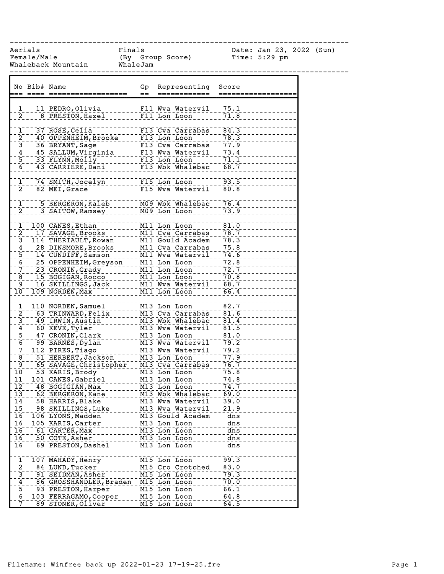------------------------------------------------------------------------------

Female/Male (By Group Score) Time: 5:29 pm Whaleback Mountain WhaleJam

Aerials Finals Date: Jan 23, 2022 (Sun)

|                                        | No Bib# Name |                         | Gp  | Representing                  | Score             |
|----------------------------------------|--------------|-------------------------|-----|-------------------------------|-------------------|
|                                        |              |                         | $=$ |                               |                   |
|                                        |              |                         |     |                               | 75.1              |
| $\frac{1}{2}$                          |              | 11 PEDRO, Olivia        |     | F11 Wva Watervil              |                   |
|                                        |              | 8 PRESTON, Hazel        |     | F11 Lon Loon                  | 71.8              |
| $\mathbf{I}$                           |              | 37 ROSE, Celia          |     | F13 Cva Carrabas              | 84.3              |
| $\bar{2}$                              |              | 40 OPPENHEIM, Brooke    |     | F13 Lon Loon                  | 78.3              |
| $\bar{3}$                              |              | 36 BRYANT, Sage         |     | F13 Cva Carrabas              | 77.9              |
|                                        |              |                         |     |                               |                   |
| $\mathbf{4}$                           |              | 45 SALLUM, Virginia     |     | F13 Wva Watervil              | 73.4              |
| $\overline{5_1}$                       |              | 33 FLYNN, Molly         |     | F13 Lon Loon                  | 71.1              |
| $\overline{6}$                         |              | 43 CARRIERE, Dani       |     | F13 Wbk Whalebac              | 68.7              |
| $\mathbf{\bar{1}}$                     |              | 74 SMITH, Jocelyn       |     | F15 Lon Loon                  | 93.5              |
| $\bar{2}^{\dagger}$                    |              | 82 MEI, Grace           |     | F15 Wva Watervil              | 80.8              |
|                                        |              |                         |     |                               |                   |
| $\mathbf{1}$                           |              | 5 BERGERON, Kaleb       |     | M09 Wbk Whalebac              | 76.4              |
| $\overline{2}$                         |              | 3 SAITOW, Ramsey        |     | M09 Lon Loon                  | 73.9              |
|                                        |              |                         |     |                               |                   |
| $\mathbf{1}$<br>$\overline{2}$         |              | 100 CANES, Ethan        |     | M11 Lon Loon                  | $\bar{81.0}$      |
|                                        |              | 17 SAVAGE, Brooks       |     | M11 Cva Carrabas              | 78.7              |
| $\bar{3}$                              |              | 114 THERIAULT, Rowan    |     | M11 Gould Academ              | 78.3              |
| 4                                      |              | 28 DINSMORE, Brooks     |     | M11 Cva Carrabas              | 75.8              |
| $\bar{5}$                              |              | 14 CUNDIFF, Samson      |     | M11 Wva Watervil <sup>1</sup> | 74.6              |
| $\overline{6}$                         |              | 25 OPPENHEIM, Greyson   |     | M11 Lon Loon                  | 72.8              |
| $\bar{7}$                              |              | 23 CRONIN, Grady        |     | M11 Lon Loon                  | 72.7              |
| $\overline{8}$                         |              | 15 BOGIGAN, Rocco       |     | M11 Lon Loon                  | 70.8              |
| $\overline{9}$                         |              | 16 SKILLINGS, Jack      |     | M11 Wva Watervil              | 68.7              |
| 10 <sub>1</sub>                        |              | 109 NORDEN, Max         |     | M11 Lon Loon                  | 66.4              |
|                                        |              |                         |     |                               |                   |
| $\overline{1}$                         |              | 110 NORDEN, Samuel      |     | M13 Lon Loon                  | 82.7              |
| $\overline{2}$                         |              | 63 TRINWARD, Felix      |     | M13 Cva Carrabas              | 81.6              |
| $\bar{3}$                              |              | 49 IRWIN, Austin        |     | M13 Wbk Whalebac              | 81.4              |
| $\overline{4}$                         |              | 60 KEVE, Tyler          |     | M13 Wva Watervil              | $\overline{81.5}$ |
| $\overline{5}$                         |              | 47 CRONIN, Clark        |     | M13 Lon Loon                  | 81.0              |
| $\overline{6}$                         |              | 99 BARNES, Dylan        |     | M13 Wva Watervil              | 79.2              |
| $\bar{7}$                              |              | 112 PIRES, Tiago        |     | M13 Wva Watervil              | 79.2              |
| $\bar{8}$                              |              | 51 HERBERT, Jackson     |     | M13 Lon Loon                  | 77.9              |
| 9                                      |              |                         |     |                               |                   |
|                                        |              | 65 SAVAGE, Christopher  |     | M13 Cva Carrabas              | 76.7<br>75.8      |
| 10 <sup>1</sup>                        |              | 53 KARIS, Brody         |     | M13 Lon Loon                  |                   |
| 11                                     |              | 101 CANES, Gabriel      |     | M13 Lon Loon                  | 74.8              |
| $\overline{1}\overline{2}$             |              | 48 BOGIGIAN, Max        |     | M13 Lon Loon                  | 74.7              |
| $\overline{1}\overline{3}\overline{1}$ |              | 62 BERGERON, Kane       |     | M13 Wbk Whalebac              | 69.0              |
| 14                                     |              | 58 HARRIS, Blake        |     | M13 Wva Watervil              | 39.0              |
| 15                                     |              | 98 SKILLINGS, Luke      |     | M13 Wva Watervil              | 21.9              |
| 16                                     |              | 106 LYONS, Madden       |     | M13 Gould Academ              | dns               |
| $\overline{16}$                        |              | 105 KARIS, Carter       |     | M13 Lon Loon                  | dns               |
| 16                                     |              | 61 CARTER, Max          |     | M13 Lon Loon                  | dns               |
| 16                                     |              | 50 COTE, Asher          |     | M13 Lon Loon                  | dns               |
| 16                                     |              | 69 PRESTON, Dashel      |     | M13 Lon Loon                  | dns               |
|                                        |              |                         |     |                               |                   |
| $\frac{1}{2}$                          |              | 107 MAHADY, Henry       |     | M15 Lon Loon                  | 99.3              |
|                                        |              | 84 LUND, Tucker         |     | M15 Cro Crotched              | $\bar{8}3.0$      |
| $\overline{3}$                         |              | 91 SEIDMAN, Asher       |     | M15 Lon Loon                  | 79.3              |
| 4                                      |              | 86 GROSSHANDLER, Braden |     | M15 Lon Loon                  | 70.0              |
| $\overline{5}$                         |              | 93 PRESTON, Harper      |     | M15 Lon Loon                  | 66.1              |
| 6                                      |              | 103 FERRAGAMO, Cooper   |     | M15 Lon Loon                  | 64.8              |
| $\bar{7}$                              |              | 89 STONER, Oliver       |     | M15 Lon Loon                  | 64.5              |
|                                        |              |                         |     |                               |                   |